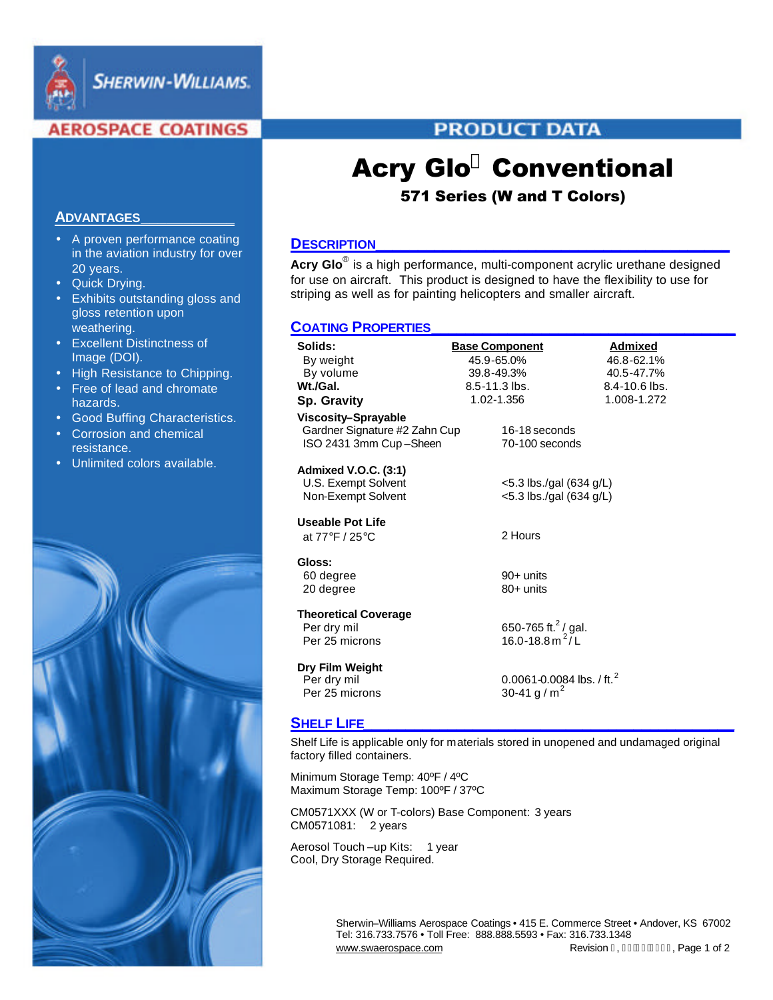

**SHERWIN-WILLIAMS.** 

# **AEROSPACE COATINGS**

# **PRODUCT DATA**

# Acry Glo**<sup>Ò</sup>** Conventional

# 571 Series (W and T Colors)

# **DESCRIPTION\_\_\_\_\_\_\_\_\_\_\_\_\_\_\_\_\_\_\_\_\_\_\_\_\_\_\_\_\_\_\_\_\_\_\_\_\_\_\_\_\_\_**

**Acry Glo**® is a high performance, multi-component acrylic urethane designed for use on aircraft. This product is designed to have the flexibility to use for striping as well as for painting helicopters and smaller aircraft.

# **COATING PROPERTIES\_\_\_\_\_\_\_\_\_\_\_\_\_\_\_\_\_\_\_\_\_\_\_\_\_\_\_\_\_\_\_\_\_\_\_\_**

| Solids:                       | <b>Base Component</b>         | <b>Admixed</b>    |
|-------------------------------|-------------------------------|-------------------|
| By weight                     | 45.9-65.0%                    | 46.8-62.1%        |
| By volume                     | 39.8-49.3%                    | 40.5-47.7%        |
| Wt./Gal.                      | 8.5-11.3 lbs.                 | $8.4 - 10.6$ lbs. |
| <b>Sp. Gravity</b>            | 1.02-1.356                    | 1.008-1.272       |
| Viscosity-Sprayable           |                               |                   |
| Gardner Signature #2 Zahn Cup | 16-18 seconds                 |                   |
| ISO 2431 3mm Cup-Sheen        | 70-100 seconds                |                   |
| <b>Admixed V.O.C. (3:1)</b>   |                               |                   |
| U.S. Exempt Solvent           | $<$ 5.3 lbs./gal (634 g/L)    |                   |
| Non-Exempt Solvent            | $<$ 5.3 lbs./gal (634 g/L)    |                   |
|                               |                               |                   |
| <b>Useable Pot Life</b>       |                               |                   |
| at 77°F / 25°C                | 2 Hours                       |                   |
| Gloss:                        |                               |                   |
| 60 degree                     | 90+ units                     |                   |
| 20 degree                     | $80+$ units                   |                   |
|                               |                               |                   |
| <b>Theoretical Coverage</b>   |                               |                   |
| Per dry mil                   | 650-765 ft. $^{2}$ / gal.     |                   |
| Per 25 microns                | 16.0-18.8 m <sup>2</sup> /L   |                   |
| Dry Film Weight               |                               |                   |
| Per dry mil                   | 0.0061-0.0084 lbs. / ft. $^2$ |                   |
| Per 25 microns                | 30-41 g / m <sup>2</sup>      |                   |
|                               |                               |                   |

# **SHELF LIFE\_\_\_\_\_\_\_\_\_\_\_\_\_\_\_\_\_\_\_\_\_\_\_\_\_\_\_\_\_\_\_\_\_\_\_\_\_\_\_\_\_\_\_\_**

Shelf Life is applicable only for materials stored in unopened and undamaged original factory filled containers.

Minimum Storage Temp: 40ºF / 4ºC Maximum Storage Temp: 100ºF / 37ºC

CM0571XXX (W or T-colors) Base Component: 3 years CM0571081: 2 years

Aerosol Touch -up Kits: 1 year Cool, Dry Storage Required.

> Sherwin–Williams Aerospace Coatings • 415 E. Commerce Street • Andover, KS 67002 Tel: 316.733.7576 • Toll Free: 888.888.5593 • Fax: 316.733.1348 www.swaerospace.com Revision I, FEEFJEREFG Page 1 of 2

## **ADVANTAGES\_\_\_\_\_\_\_\_\_\_\_**

- A proven performance coating in the aviation industry for over 20 years.
- Quick Drying.
- Exhibits outstanding gloss and gloss retention upon weathering.
- Excellent Distinctness of Image (DOI).
- High Resistance to Chipping.
- Free of lead and chromate hazards.
- Good Buffing Characteristics.
- Corrosion and chemical resistance.
- Unlimited colors available.

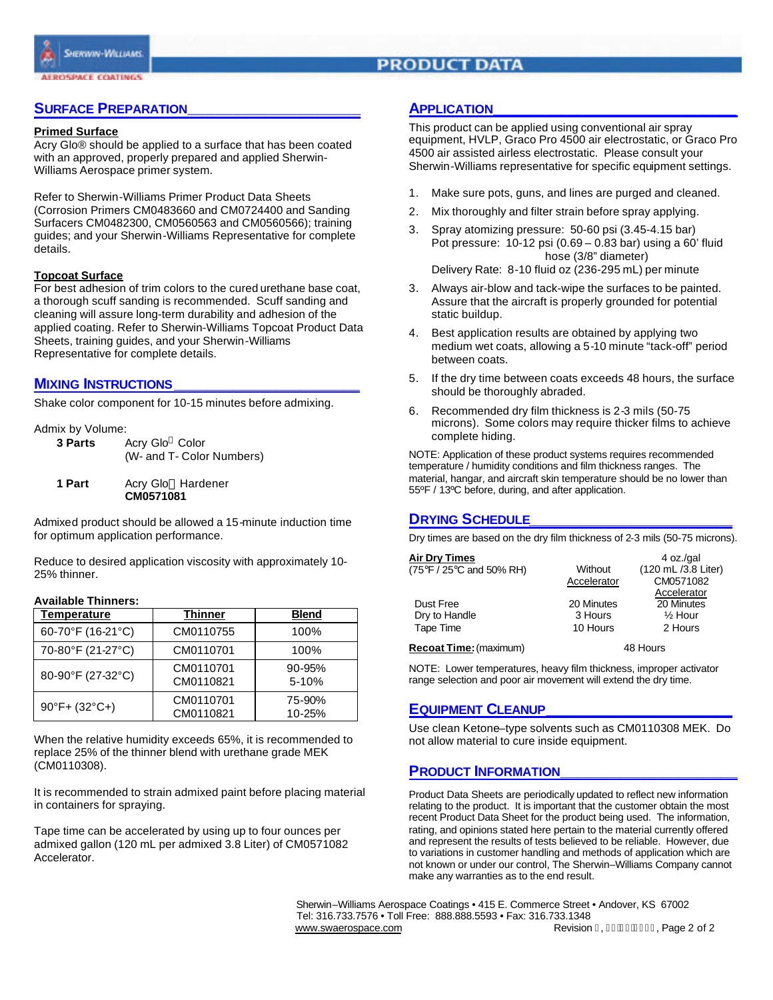

# **PRODUCT DATA**

## **SURFACE PREPARATION\_\_\_\_\_\_\_\_\_\_\_\_\_\_\_\_\_\_\_**

#### **Primed Surface**

Acry Glo® should be applied to a surface that has been coated with an approved, properly prepared and applied Sherwin-Williams Aerospace primer system.

Refer to Sherwin-Williams Primer Product Data Sheets (Corrosion Primers CM0483660 and CM0724400 and Sanding Surfacers CM0482300, CM0560563 and CM0560566); training guides; and your Sherwin-Williams Representative for complete details.

#### **Topcoat Surface**

For best adhesion of trim colors to the cured urethane base coat, a thorough scuff sanding is recommended. Scuff sanding and cleaning will assure long-term durability and adhesion of the applied coating. Refer to Sherwin-Williams Topcoat Product Data Sheets, training guides, and your Sherwin-Williams Representative for complete details.

#### **MIXING INSTRUCTIONS\_\_\_\_\_\_\_\_\_\_\_\_\_\_\_\_\_\_\_\_\_\_**

Shake color component for 10-15 minutes before admixing.

Admix by Volume:

| 3 Parts | Acry Glo <sup>®</sup> Color |
|---------|-----------------------------|
|         | (W- and T- Color Numbers)   |

**1 Part** Acry Glo<sup>®</sup> Hardener **CM0571081**

Admixed product should be allowed a 15-minute induction time for optimum application performance.

Reduce to desired application viscosity with approximately 10- 25% thinner.

### **Available Thinners:**

| Temperature                        | Thinner                | <b>Blend</b>            |  |
|------------------------------------|------------------------|-------------------------|--|
| 60-70°F (16-21°C)                  | CM0110755              | 100%                    |  |
| 70-80°F (21-27°C)                  | CM0110701              | 100%                    |  |
| 80-90°F (27-32°C)                  | CM0110701<br>CM0110821 | $90 - 95%$<br>$5 - 10%$ |  |
| $90^{\circ}$ F+ (32 $^{\circ}$ C+) | CM0110701<br>CM0110821 | 75-90%<br>10-25%        |  |

When the relative humidity exceeds 65%, it is recommended to replace 25% of the thinner blend with urethane grade MEK (CM0110308).

It is recommended to strain admixed paint before placing material in containers for spraying.

Tape time can be accelerated by using up to four ounces per admixed gallon (120 mL per admixed 3.8 Liter) of CM0571082 Accelerator.

## **APPLICATION\_\_\_\_\_\_\_\_\_\_\_\_\_\_\_\_\_\_\_\_\_\_\_\_\_\_\_\_\_**

This product can be applied using conventional air spray equipment, HVLP, Graco Pro 4500 air electrostatic, or Graco Pro 4500 air assisted airless electrostatic. Please consult your Sherwin-Williams representative for specific equipment settings.

- 1. Make sure pots, guns, and lines are purged and cleaned.
- 2. Mix thoroughly and filter strain before spray applying.
- 3. Spray atomizing pressure: 50-60 psi (3.45-4.15 bar) Pot pressure: 10-12 psi (0.69 – 0.83 bar) using a 60' fluid hose (3/8" diameter) Delivery Rate: 8-10 fluid oz (236-295 mL) per minute
- 3. Always air-blow and tack-wipe the surfaces to be painted. Assure that the aircraft is properly grounded for potential static buildup.
- 4. Best application results are obtained by applying two medium wet coats, allowing a 5-10 minute "tack-off" period between coats.
- 5. If the dry time between coats exceeds 48 hours, the surface should be thoroughly abraded.
- 6. Recommended dry film thickness is 2-3 mils (50-75 microns). Some colors may require thicker films to achieve complete hiding.

NOTE: Application of these product systems requires recommended temperature / humidity conditions and film thickness ranges. The material, hangar, and aircraft skin temperature should be no lower than 55ºF / 13ºC before, during, and after application.

## **DRYING SCHEDULE\_\_\_\_\_\_\_\_\_\_\_\_\_\_\_\_\_\_\_\_\_\_\_\_**

Dry times are based on the dry film thickness of 2-3 mils (50-75 microns).

| <b>Air Dry Times</b><br>$(75^{\circ}F / 25^{\circ}C$ and 50% RH)                               | Without<br>Accelerator | 4 oz./gal<br>(120 mL /3.8 Liter)<br>CM0571082   |
|------------------------------------------------------------------------------------------------|------------------------|-------------------------------------------------|
| Dust Free<br>Dry to Handle                                                                     | 20 Minutes<br>3 Hours  | Accelerator<br>20 Minutes<br>$\frac{1}{2}$ Hour |
| Tape Time<br>$\mathbf{D}$ and $\mathbf{E}$ and $\mathbf{L}$ (and $\mathbf{L}$ and $\mathbf{L}$ | 10 Hours               | 2 Hours<br>$1011$ $\ldots$                      |

**Recoat Time:**(maximum) 48 Hours

NOTE: Lower temperatures, heavy film thickness, improper activator range selection and poor air movement will extend the dry time.

## **EQUIPMENT CLEANUP\_\_\_\_\_\_\_\_\_\_\_\_\_\_\_\_\_\_\_\_\_\_**

Use clean Ketone–type solvents such as CM0110308 MEK. Do not allow material to cure inside equipment.

### **PRODUCT INFORMATION\_\_\_\_\_\_\_\_\_\_\_\_\_\_\_\_\_\_\_\_\_**

Product Data Sheets are periodically updated to reflect new information relating to the product. It is important that the customer obtain the most recent Product Data Sheet for the product being used. The information, rating, and opinions stated here pertain to the material currently offered and represent the results of tests believed to be reliable. However, due to variations in customer handling and methods of application which are not known or under our control, The Sherwin–Williams Company cannot make any warranties as to the end result.

 Sherwin–Williams Aerospace Coatings • 415 E. Commerce Street • Andover, KS 67002 Tel: 316.733.7576 • Toll Free: 888.888.5593 • Fax: 316.733.1348 www.swaerospace.com Revision 1, February Revision 1, February 2 of 2